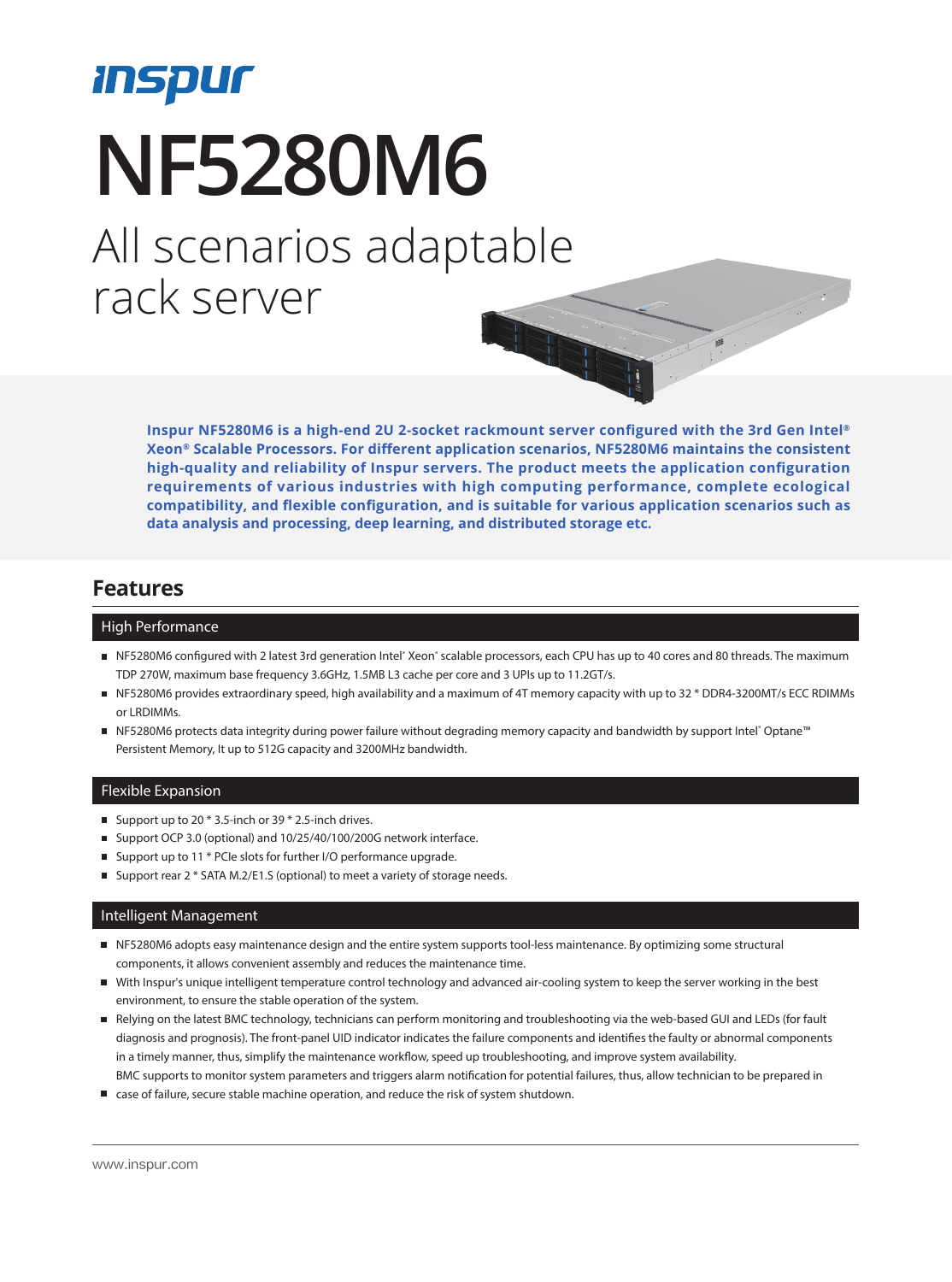# *Inspur* **NF5280M6** All scenarios adaptable rack server

**Inspur NF5280M6 is a high-end 2U 2-socket rackmount server configured with the 3rd Gen Intel® Xeon® Scalable Processors. For different application scenarios, NF5280M6 maintains the consistent high-quality and reliability of Inspur servers. The product meets the application configuration requirements of various industries with high computing performance, complete ecological compatibility, and flexible configuration, and is suitable for various application scenarios such as data analysis and processing, deep learning, and distributed storage etc.**

### **Features**

#### High Performance

- NF5280M6 configured with 2 latest 3rd generation Intel® Xeon® scalable processors, each CPU has up to 40 cores and 80 threads. The maximum TDP 270W, maximum base frequency 3.6GHz, 1.5MB L3 cache per core and 3 UPIs up to 11.2GT/s.
- NF5280M6 provides extraordinary speed, high availability and a maximum of 4T memory capacity with up to 32 \* DDR4-3200MT/s ECC RDIMMs or LRDIMMs.
- NF5280M6 protects data integrity during power failure without degrading memory capacity and bandwidth by support Intel® Optane™ Persistent Memory, It up to 512G capacity and 3200MHz bandwidth.

#### Flexible Expansion

- Support up to 20  $*$  3.5-inch or 39  $*$  2.5-inch drives.
- Support OCP 3.0 (optional) and 10/25/40/100/200G network interface.
- Support up to 11 \* PCIe slots for further I/O performance upgrade.
- Support rear 2 \* SATA M.2/E1.S (optional) to meet a variety of storage needs.

#### Intelligent Management

- NF5280M6 adopts easy maintenance design and the entire system supports tool-less maintenance. By optimizing some structural components, it allows convenient assembly and reduces the maintenance time.
- With Inspur's unique intelligent temperature control technology and advanced air-cooling system to keep the server working in the best environment, to ensure the stable operation of the system.
- Relying on the latest BMC technology, technicians can perform monitoring and troubleshooting via the web-based GUI and LEDs (for fault diagnosis and prognosis). The front-panel UID indicator indicates the failure components and identifies the faulty or abnormal components in a timely manner, thus, simplify the maintenance workflow, speed up troubleshooting, and improve system availability. BMC supports to monitor system parameters and triggers alarm notification for potential failures, thus, allow technician to be prepared in
- case of failure, secure stable machine operation, and reduce the risk of system shutdown.